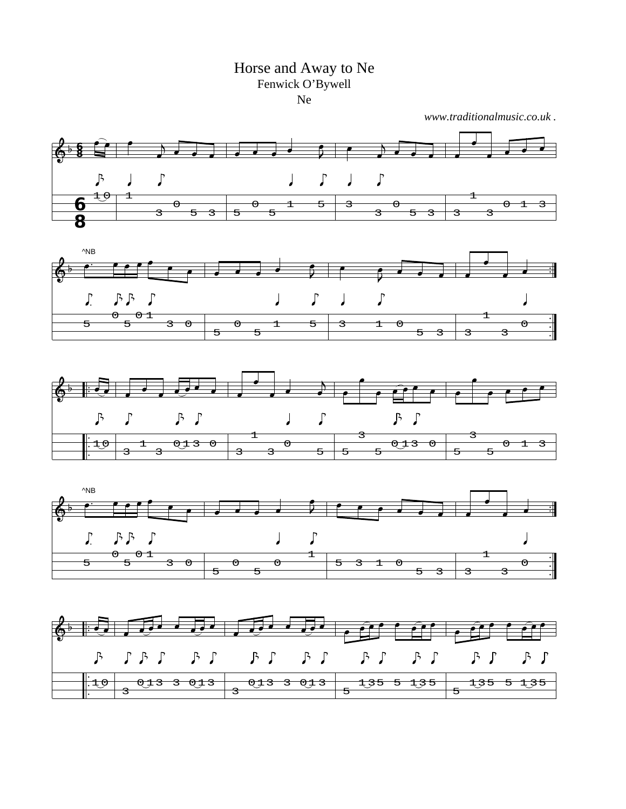## Horse and Away to Ne Fenwick O'Bywell Ne

*www.traditionalmusic.co.uk .*

 $5 \overline{3}$  3